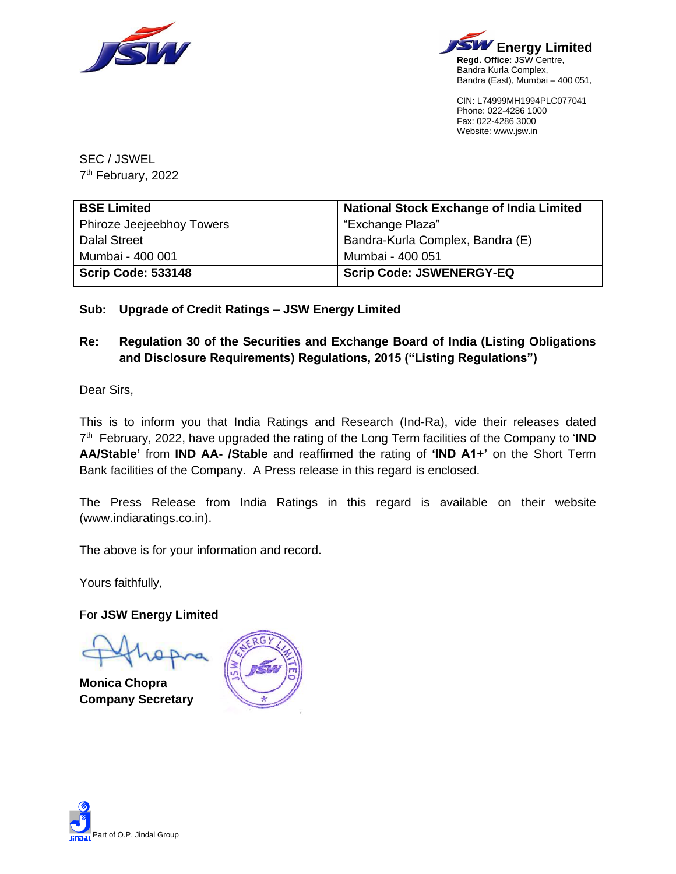



CIN: L74999MH1994PLC077041 Phone: 022-4286 1000 Fax: 022-4286 3000 Website: www.jsw.in

SEC / JSWEL 7<sup>th</sup> February, 2022

| <b>BSE Limited</b>        | <b>National Stock Exchange of India Limited</b> |
|---------------------------|-------------------------------------------------|
| Phiroze Jeejeebhoy Towers | "Exchange Plaza"                                |
| <b>Dalal Street</b>       | Bandra-Kurla Complex, Bandra (E)                |
| Mumbai - 400 001          | Mumbai - 400 051                                |
| <b>Scrip Code: 533148</b> | <b>Scrip Code: JSWENERGY-EQ</b>                 |

## **Sub: Upgrade of Credit Ratings – JSW Energy Limited**

## **Re: Regulation 30 of the Securities and Exchange Board of India (Listing Obligations and Disclosure Requirements) Regulations, 2015 ("Listing Regulations")**

Dear Sirs,

This is to inform you that India Ratings and Research (Ind-Ra), vide their releases dated 7 th February, 2022, have upgraded the rating of the Long Term facilities of the Company to '**IND AA/Stable'** from **IND AA- /Stable** and reaffirmed the rating of **'IND A1+'** on the Short Term Bank facilities of the Company. A Press release in this regard is enclosed.

The Press Release from India Ratings in this regard is available on their website (www.indiaratings.co.in).

The above is for your information and record.

Yours faithfully,

For **JSW Energy Limited**

**Monica Chopra Company Secretary**



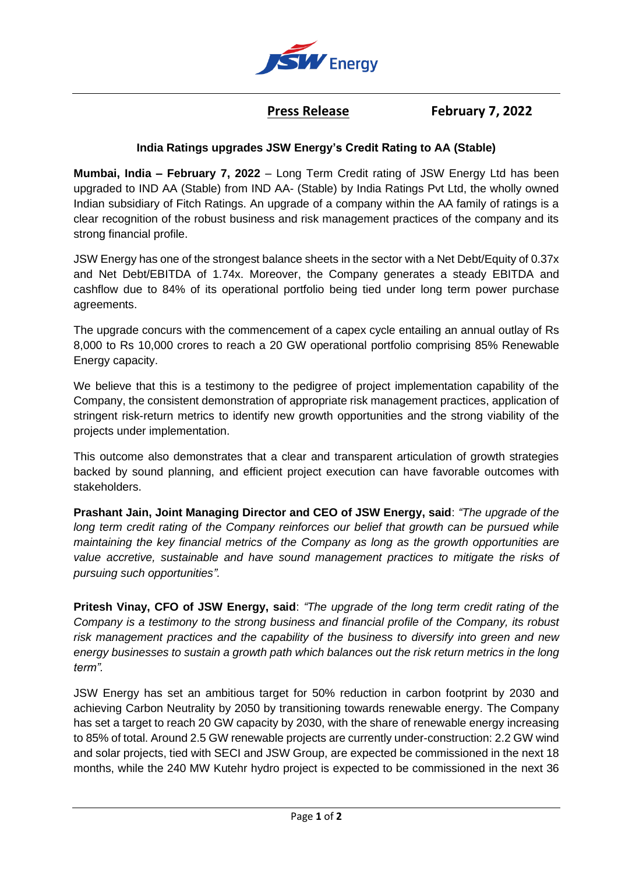

 **Press Release February 7, 2022**

## **India Ratings upgrades JSW Energy's Credit Rating to AA (Stable)**

**Mumbai, India – February 7, 2022** – Long Term Credit rating of JSW Energy Ltd has been upgraded to IND AA (Stable) from IND AA- (Stable) by India Ratings Pvt Ltd, the wholly owned Indian subsidiary of Fitch Ratings. An upgrade of a company within the AA family of ratings is a clear recognition of the robust business and risk management practices of the company and its strong financial profile.

JSW Energy has one of the strongest balance sheets in the sector with a Net Debt/Equity of 0.37x and Net Debt/EBITDA of 1.74x. Moreover, the Company generates a steady EBITDA and cashflow due to 84% of its operational portfolio being tied under long term power purchase agreements.

The upgrade concurs with the commencement of a capex cycle entailing an annual outlay of Rs 8,000 to Rs 10,000 crores to reach a 20 GW operational portfolio comprising 85% Renewable Energy capacity.

We believe that this is a testimony to the pedigree of project implementation capability of the Company, the consistent demonstration of appropriate risk management practices, application of stringent risk-return metrics to identify new growth opportunities and the strong viability of the projects under implementation.

This outcome also demonstrates that a clear and transparent articulation of growth strategies backed by sound planning, and efficient project execution can have favorable outcomes with stakeholders.

**Prashant Jain, Joint Managing Director and CEO of JSW Energy, said**: *"The upgrade of the long term credit rating of the Company reinforces our belief that growth can be pursued while maintaining the key financial metrics of the Company as long as the growth opportunities are value accretive, sustainable and have sound management practices to mitigate the risks of pursuing such opportunities".*

**Pritesh Vinay, CFO of JSW Energy, said**: *"The upgrade of the long term credit rating of the Company is a testimony to the strong business and financial profile of the Company, its robust risk management practices and the capability of the business to diversify into green and new energy businesses to sustain a growth path which balances out the risk return metrics in the long term".*

JSW Energy has set an ambitious target for 50% reduction in carbon footprint by 2030 and achieving Carbon Neutrality by 2050 by transitioning towards renewable energy. The Company has set a target to reach 20 GW capacity by 2030, with the share of renewable energy increasing to 85% of total. Around 2.5 GW renewable projects are currently under-construction: 2.2 GW wind and solar projects, tied with SECI and JSW Group, are expected be commissioned in the next 18 months, while the 240 MW Kutehr hydro project is expected to be commissioned in the next 36